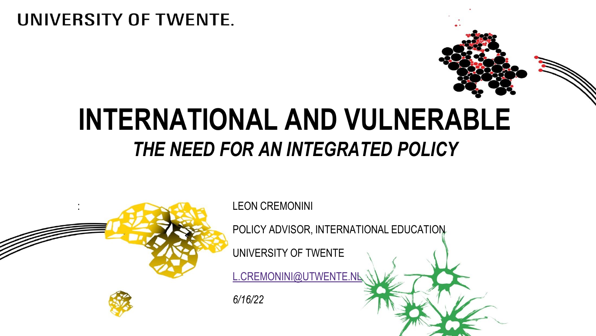#### UNIVERSITY OF TWENTE.

## **INTERNATIONAL AND VULNERABLE**  *THE NEED FOR AN INTEGRATED POLICY*

| ٠<br>٠ |  |
|--------|--|
|        |  |

: LEON CREMONINI

POLICY ADVISOR, INTERNATIONAL EDUCATION

UNIVERSITY OF TWENTE

[L.CREMONINI@UTWENTE.NL](mailto:l.cremonini@utwente.nl)

*6/16/22*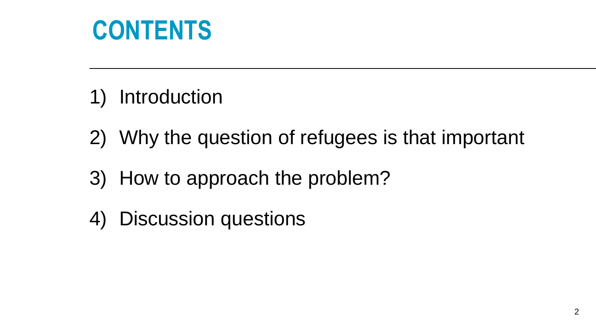## **CONTENTS**

- 1) Introduction
- 2) Why the question of refugees is that important
- 3) How to approach the problem?
- 4) Discussion questions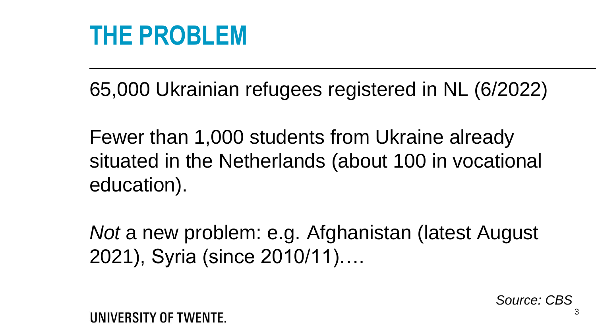#### **THE PROBLEM**

65,000 Ukrainian refugees registered in NL (6/2022)

Fewer than 1,000 students from Ukraine already situated in the Netherlands (about 100 in vocational education).

*Not* a new problem: e.g. Afghanistan (latest August 2021), Syria (since 2010/11)….

*Source: CBS*

UNIVERSITY OF TWENTE.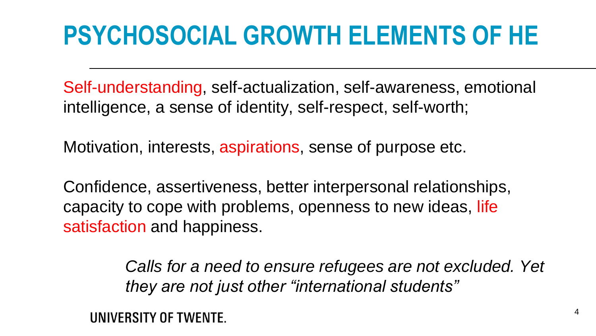# **PSYCHOSOCIAL GROWTH ELEMENTS OF HE**

Self-understanding, self-actualization, self-awareness, emotional intelligence, a sense of identity, self-respect, self-worth;

Motivation, interests, aspirations, sense of purpose etc.

Confidence, assertiveness, better interpersonal relationships, capacity to cope with problems, openness to new ideas, life satisfaction and happiness.

> *Calls for a need to ensure refugees are not excluded. Yet they are not just other "international students"*

UNIVERSITY OF TWENTE.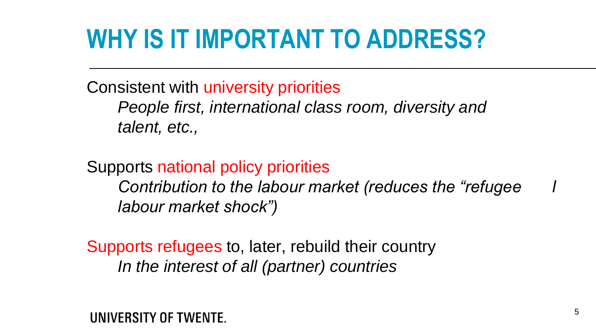# **WHY IS IT IMPORTANT TO ADDRESS?**

Consistent with university priorities *People first, international class room, diversity and talent, etc.,* 

Supports national policy priorities *Contribution to the labour market (reduces the "refugee l labour market shock")* 

Supports refugees to, later, rebuild their country *In the interest of all (partner) countries*

UNIVERSITY OF TWENTE.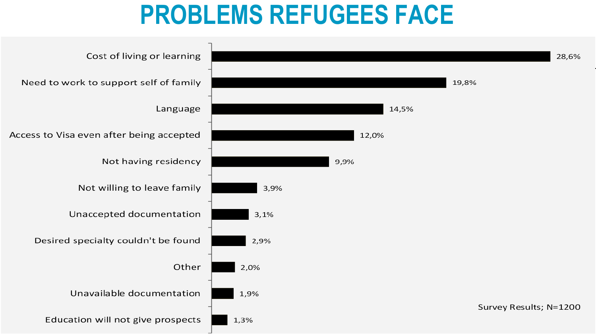### **PROBLEMS REFUGEES FACE**

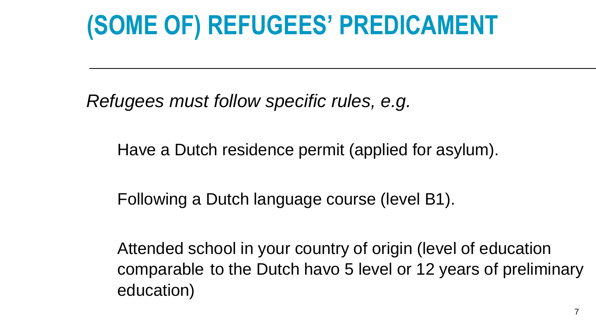## **(SOME OF) REFUGEES' PREDICAMENT**

*Refugees must follow specific rules, e.g.* 

Have a Dutch residence permit (applied for asylum).

Following a Dutch language course (level B1).

Attended school in your country of origin (level of education comparable to the Dutch havo 5 level or 12 years of preliminary education)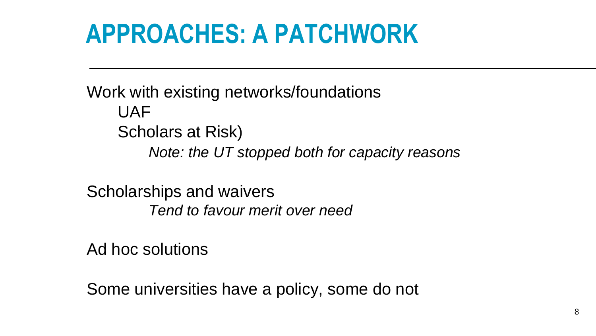# **APPROACHES: A PATCHWORK**

Work with existing networks/foundations UAF Scholars at Risk) *Note: the UT stopped both for capacity reasons*

Scholarships and waivers *Tend to favour merit over need*

Ad hoc solutions

Some universities have a policy, some do not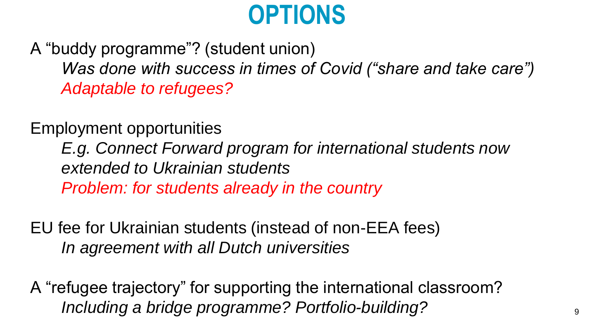## **OPTIONS**

A "buddy programme"? (student union) *Was done with success in times of Covid ("share and take care") Adaptable to refugees?*

Employment opportunities

*E.g. Connect Forward program for international students now extended to Ukrainian students*

*Problem: for students already in the country* 

EU fee for Ukrainian students (instead of non-EEA fees) *In agreement with all Dutch universities*

A "refugee trajectory" for supporting the international classroom? *Including a bridge programme? Portfolio-building?* <sup>9</sup>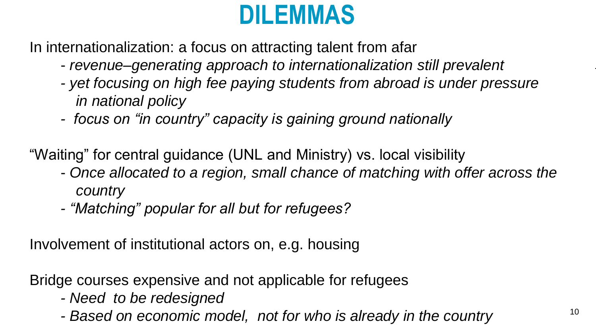## **DILEMMAS**

In internationalization: a focus on attracting talent from afar

- *revenue–generating approach to internationalization still prevalent*
- *- yet focusing on high fee paying students from abroad is under pressure in national policy*
- *- focus on "in country" capacity is gaining ground nationally*

"Waiting" for central guidance (UNL and Ministry) vs. local visibility

- *Once allocated to a region, small chance of matching with offer across the country*
- *- "Matching" popular for all but for refugees?*

Involvement of institutional actors on, e.g. housing

Bridge courses expensive and not applicable for refugees

- *- Need to be redesigned*
- *-* Based on economic model, not for who is already in the country  $10^{10}$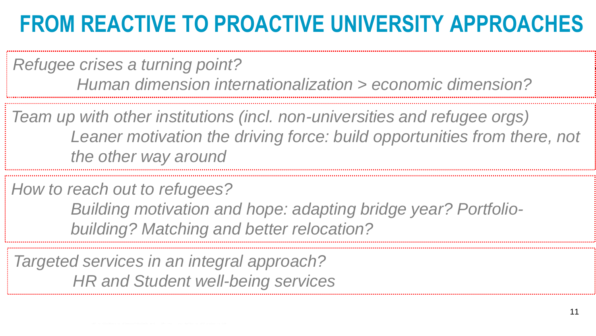#### **FROM REACTIVE TO PROACTIVE UNIVERSITY APPROACHES**

*Refugee crises a turning point? Human dimension internationalization > economic dimension?*

*Team up with other institutions (incl. non-universities and refugee orgs)* Leaner motivation the driving force: build opportunities from there, not *the other way around*

*How to reach out to refugees?*

*Building motivation and hope: adapting bridge year? Portfoliobuilding? Matching and better relocation?* 

*Targeted services in an integral approach? HR and Student well-being services*